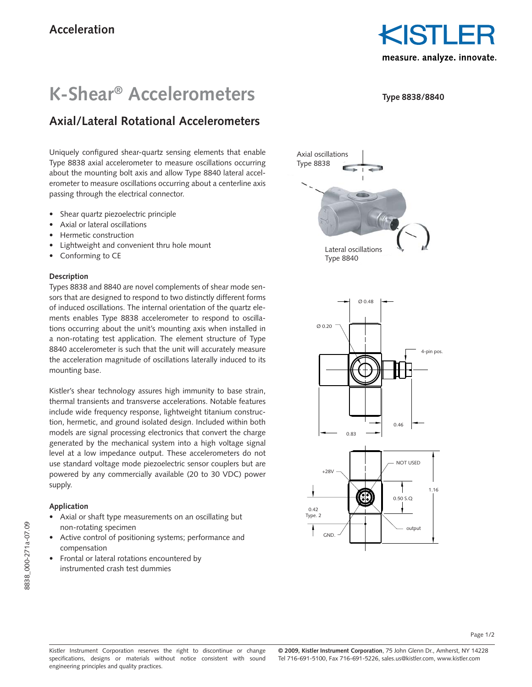KISTLE measure. analyze. innovate.

**Type 8838/8840**

## **K-Shear® Accelerometers**

### **Axial/Lateral Rotational Accelerometers**

Uniquely configured shear-quartz sensing elements that enable Type 8838 axial accelerometer to measure oscillations occurring about the mounting bolt axis and allow Type 8840 lateral accelerometer to measure oscillations occurring about a centerline axis passing through the electrical connector.

- Shear quartz piezoelectric principle
- Axial or lateral oscillations
- Hermetic construction
- Lightweight and convenient thru hole mount
- Conforming to CE

#### **Description**

Types 8838 and 8840 are novel complements of shear mode sensors that are designed to respond to two distinctly different forms of induced oscillations. The internal orientation of the quartz elements enables Type 8838 accelerometer to respond to oscillations occurring about the unit's mounting axis when installed in a non-rotating test application. The element structure of Type 8840 accelerometer is such that the unit will accurately measure the acceleration magnitude of oscillations laterally induced to its mounting base.

Kistler's shear technology assures high immunity to base strain, thermal transients and transverse accelerations. Notable features include wide frequency response, lightweight titanium construction, hermetic, and ground isolated design. Included within both models are signal processing electronics that convert the charge generated by the mechanical system into a high voltage signal level at a low impedance output. These accelerometers do not use standard voltage mode piezoelectric sensor couplers but are powered by any commercially available (20 to 30 VDC) power supply.

#### **Application**

- Axial or shaft type measurements on an oscillating but non-rotating specimen
- Active control of positioning systems; performance and compensation
- Frontal or lateral rotations encountered by instrumented crash test dummies